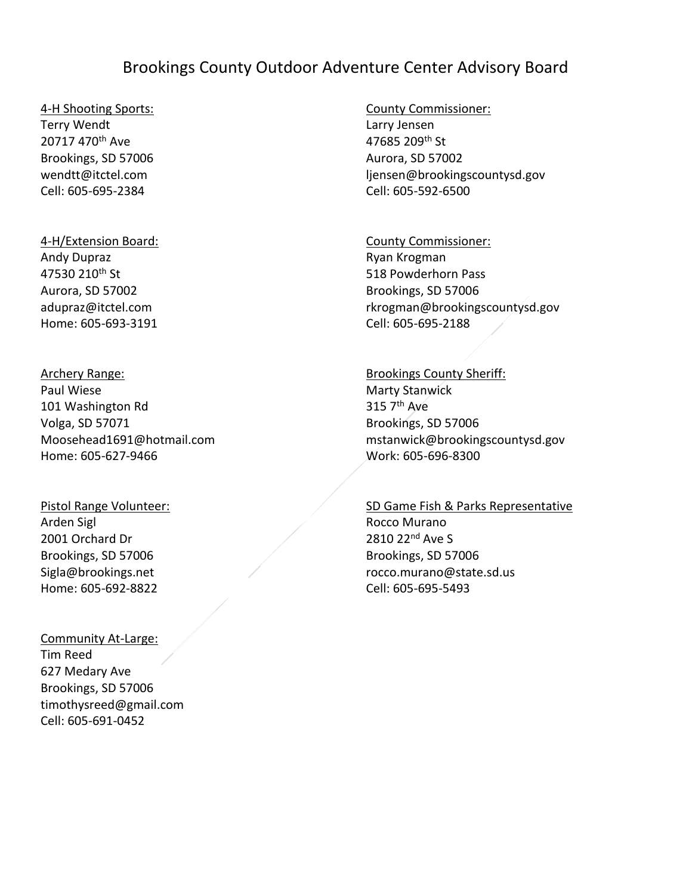# Brookings County Outdoor Adventure Center Advisory Board

Terry Wendt **Larry Jensen** 20717 470<sup>th</sup> Ave 47685 209<sup>th</sup> St Brookings, SD 57006 **Aurora**, SD 57002 Cell: 605-695-2384 Cell: 605-592-6500

Andy Dupraz **Andy Dupraz Ryan Krogman** 47530 210<sup>th</sup> St 518 Powderhorn Pass Aurora, SD 57002 Brookings, SD 57006 Home: 605-693-3191 Cell: 605-695-2188

Paul Wiese Marty Stanwick 101 Washington Rd 315 7<sup>th</sup> Ave Volga, SD 57071 Brookings, SD 57006 Home: 605-627-9466 Work: 605-696-8300

# Arden Sigl Rocco Murano 2001 Orchard Dr 2810 22<sup>nd</sup> Ave S Brookings, SD 57006 Brookings, SD 57006 Home: 605-692-8822 Cell: 605-695-5493

# Community At-Large: Tim Reed 627 Medary Ave Brookings, SD 57006 timothysreed@gmail.com Cell: 605-691-0452

### 4-H Shooting Sports: County Commissioner:

wendtt@itctel.com liensen@brookingscountysd.gov

### 4-H/Extension Board: County Commissioner:

adupraz@itctel.com and rkrogman@brookingscountysd.gov

# Archery Range: **Brookings County Sheriff:**

Moosehead1691@hotmail.com mstanwick@brookingscountysd.gov

# Pistol Range Volunteer: SD Game Fish & Parks Representative

Sigla@brookings.net metalstate.sd.us and rocco.murano@state.sd.us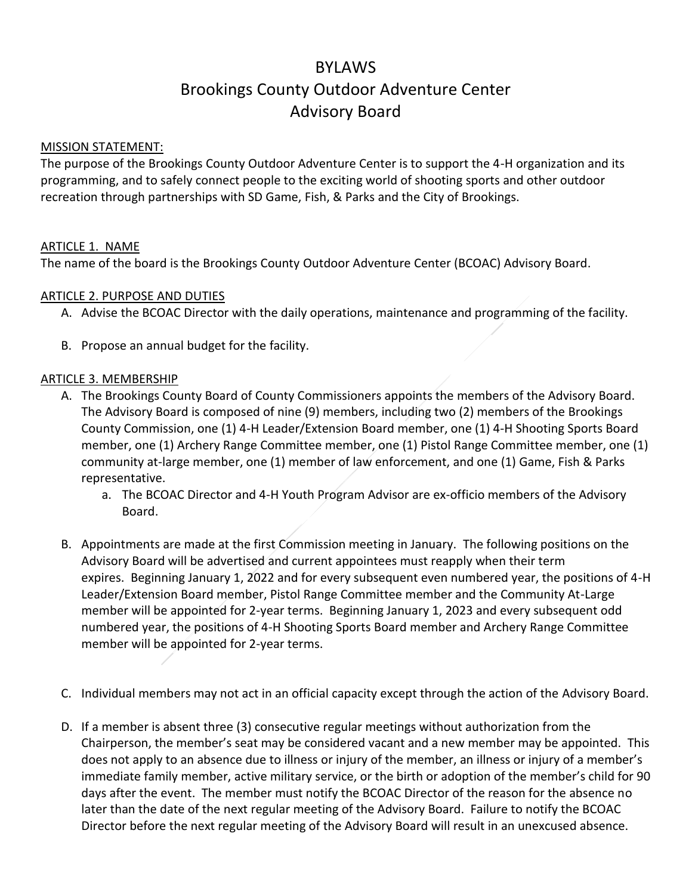# BYLAWS Brookings County Outdoor Adventure Center Advisory Board

### MISSION STATEMENT:

The purpose of the Brookings County Outdoor Adventure Center is to support the 4-H organization and its programming, and to safely connect people to the exciting world of shooting sports and other outdoor recreation through partnerships with SD Game, Fish, & Parks and the City of Brookings.

### ARTICLE 1. NAME

The name of the board is the Brookings County Outdoor Adventure Center (BCOAC) Advisory Board.

### ARTICLE 2. PURPOSE AND DUTIES

- A. Advise the BCOAC Director with the daily operations, maintenance and programming of the facility.
- B. Propose an annual budget for the facility.

### ARTICLE 3. MEMBERSHIP

- A. The Brookings County Board of County Commissioners appoints the members of the Advisory Board. The Advisory Board is composed of nine (9) members, including two (2) members of the Brookings County Commission, one (1) 4-H Leader/Extension Board member, one (1) 4-H Shooting Sports Board member, one (1) Archery Range Committee member, one (1) Pistol Range Committee member, one (1) community at-large member, one (1) member of law enforcement, and one (1) Game, Fish & Parks representative.
	- a. The BCOAC Director and 4-H Youth Program Advisor are ex-officio members of the Advisory Board.
- B. Appointments are made at the first Commission meeting in January. The following positions on the Advisory Board will be advertised and current appointees must reapply when their term expires. Beginning January 1, 2022 and for every subsequent even numbered year, the positions of 4-H Leader/Extension Board member, Pistol Range Committee member and the Community At-Large member will be appointed for 2-year terms. Beginning January 1, 2023 and every subsequent odd numbered year, the positions of 4-H Shooting Sports Board member and Archery Range Committee member will be appointed for 2-year terms.
- C. Individual members may not act in an official capacity except through the action of the Advisory Board.
- D. If a member is absent three (3) consecutive regular meetings without authorization from the Chairperson, the member's seat may be considered vacant and a new member may be appointed. This does not apply to an absence due to illness or injury of the member, an illness or injury of a member's immediate family member, active military service, or the birth or adoption of the member's child for 90 days after the event. The member must notify the BCOAC Director of the reason for the absence no later than the date of the next regular meeting of the Advisory Board. Failure to notify the BCOAC Director before the next regular meeting of the Advisory Board will result in an unexcused absence.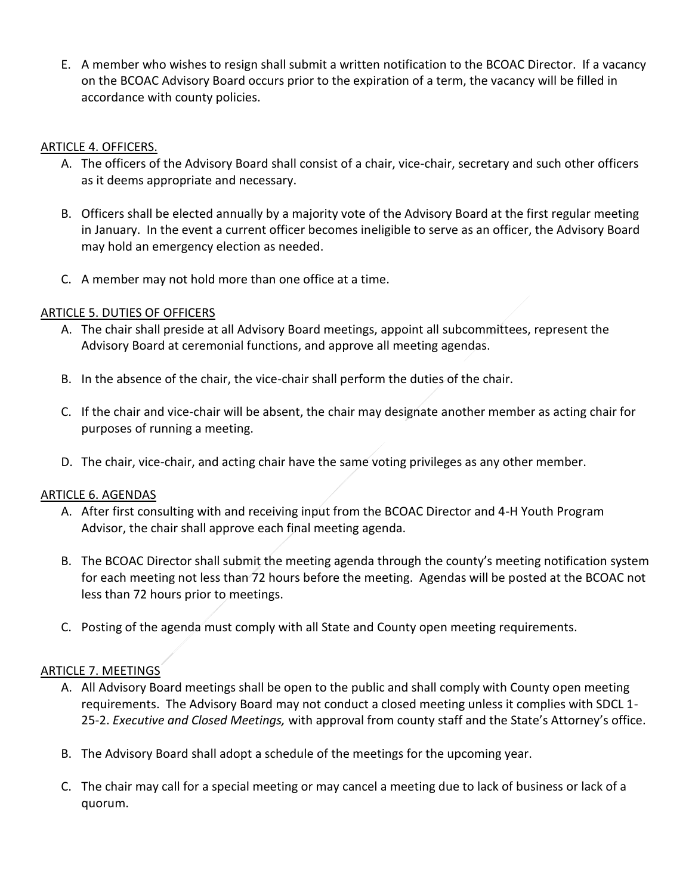E. A member who wishes to resign shall submit a written notification to the BCOAC Director. If a vacancy on the BCOAC Advisory Board occurs prior to the expiration of a term, the vacancy will be filled in accordance with county policies.

### ARTICLE 4. OFFICERS.

- A. The officers of the Advisory Board shall consist of a chair, vice-chair, secretary and such other officers as it deems appropriate and necessary.
- B. Officers shall be elected annually by a majority vote of the Advisory Board at the first regular meeting in January. In the event a current officer becomes ineligible to serve as an officer, the Advisory Board may hold an emergency election as needed.
- C. A member may not hold more than one office at a time.

# ARTICLE 5. DUTIES OF OFFICERS

- A. The chair shall preside at all Advisory Board meetings, appoint all subcommittees, represent the Advisory Board at ceremonial functions, and approve all meeting agendas.
- B. In the absence of the chair, the vice-chair shall perform the duties of the chair.
- C. If the chair and vice-chair will be absent, the chair may designate another member as acting chair for purposes of running a meeting.
- D. The chair, vice-chair, and acting chair have the same voting privileges as any other member.

# ARTICLE 6. AGENDAS

- A. After first consulting with and receiving input from the BCOAC Director and 4-H Youth Program Advisor, the chair shall approve each final meeting agenda.
- B. The BCOAC Director shall submit the meeting agenda through the county's meeting notification system for each meeting not less than 72 hours before the meeting. Agendas will be posted at the BCOAC not less than 72 hours prior to meetings.
- C. Posting of the agenda must comply with all State and County open meeting requirements.

# ARTICLE 7. MEETINGS

- A. All Advisory Board meetings shall be open to the public and shall comply with County open meeting requirements. The Advisory Board may not conduct a closed meeting unless it complies with SDCL 1- 25-2. *Executive and Closed Meetings,* with approval from county staff and the State's Attorney's office.
- B. The Advisory Board shall adopt a schedule of the meetings for the upcoming year.
- C. The chair may call for a special meeting or may cancel a meeting due to lack of business or lack of a quorum.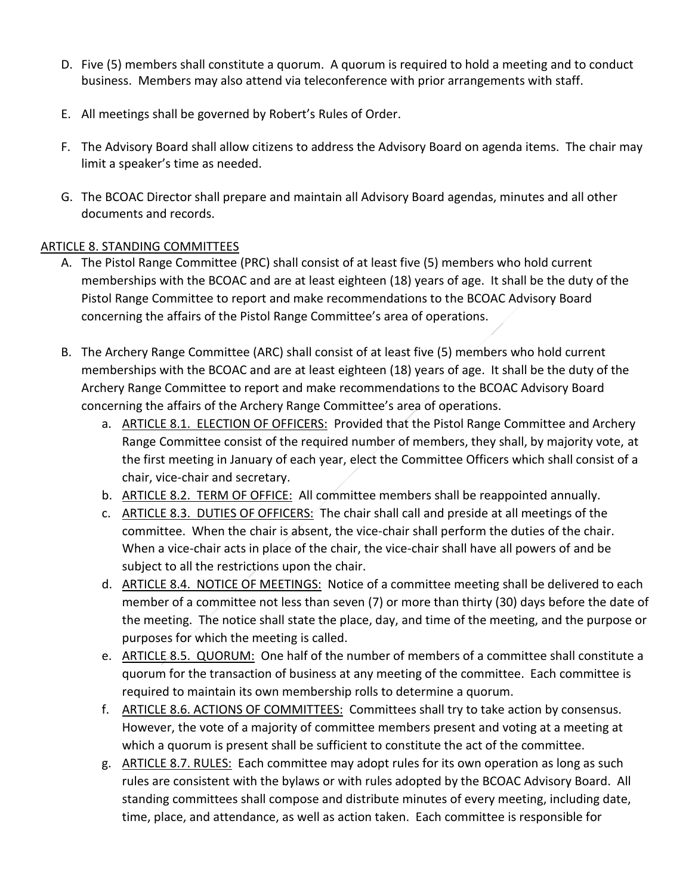- D. Five (5) members shall constitute a quorum. A quorum is required to hold a meeting and to conduct business. Members may also attend via teleconference with prior arrangements with staff.
- E. All meetings shall be governed by Robert's Rules of Order.
- F. The Advisory Board shall allow citizens to address the Advisory Board on agenda items. The chair may limit a speaker's time as needed.
- G. The BCOAC Director shall prepare and maintain all Advisory Board agendas, minutes and all other documents and records.

# ARTICLE 8. STANDING COMMITTEES

- A. The Pistol Range Committee (PRC) shall consist of at least five (5) members who hold current memberships with the BCOAC and are at least eighteen (18) years of age. It shall be the duty of the Pistol Range Committee to report and make recommendations to the BCOAC Advisory Board concerning the affairs of the Pistol Range Committee's area of operations.
- B. The Archery Range Committee (ARC) shall consist of at least five (5) members who hold current memberships with the BCOAC and are at least eighteen (18) years of age. It shall be the duty of the Archery Range Committee to report and make recommendations to the BCOAC Advisory Board concerning the affairs of the Archery Range Committee's area of operations.
	- a. ARTICLE 8.1. ELECTION OF OFFICERS: Provided that the Pistol Range Committee and Archery Range Committee consist of the required number of members, they shall, by majority vote, at the first meeting in January of each year, elect the Committee Officers which shall consist of a chair, vice-chair and secretary.
	- b. ARTICLE 8.2. TERM OF OFFICE: All committee members shall be reappointed annually.
	- c. ARTICLE 8.3. DUTIES OF OFFICERS: The chair shall call and preside at all meetings of the committee. When the chair is absent, the vice-chair shall perform the duties of the chair. When a vice-chair acts in place of the chair, the vice-chair shall have all powers of and be subject to all the restrictions upon the chair.
	- d. ARTICLE 8.4. NOTICE OF MEETINGS: Notice of a committee meeting shall be delivered to each member of a committee not less than seven (7) or more than thirty (30) days before the date of the meeting. The notice shall state the place, day, and time of the meeting, and the purpose or purposes for which the meeting is called.
	- e. ARTICLE 8.5. QUORUM: One half of the number of members of a committee shall constitute a quorum for the transaction of business at any meeting of the committee. Each committee is required to maintain its own membership rolls to determine a quorum.
	- f. ARTICLE 8.6. ACTIONS OF COMMITTEES: Committees shall try to take action by consensus. However, the vote of a majority of committee members present and voting at a meeting at which a quorum is present shall be sufficient to constitute the act of the committee.
	- g. ARTICLE 8.7. RULES: Each committee may adopt rules for its own operation as long as such rules are consistent with the bylaws or with rules adopted by the BCOAC Advisory Board. All standing committees shall compose and distribute minutes of every meeting, including date, time, place, and attendance, as well as action taken. Each committee is responsible for